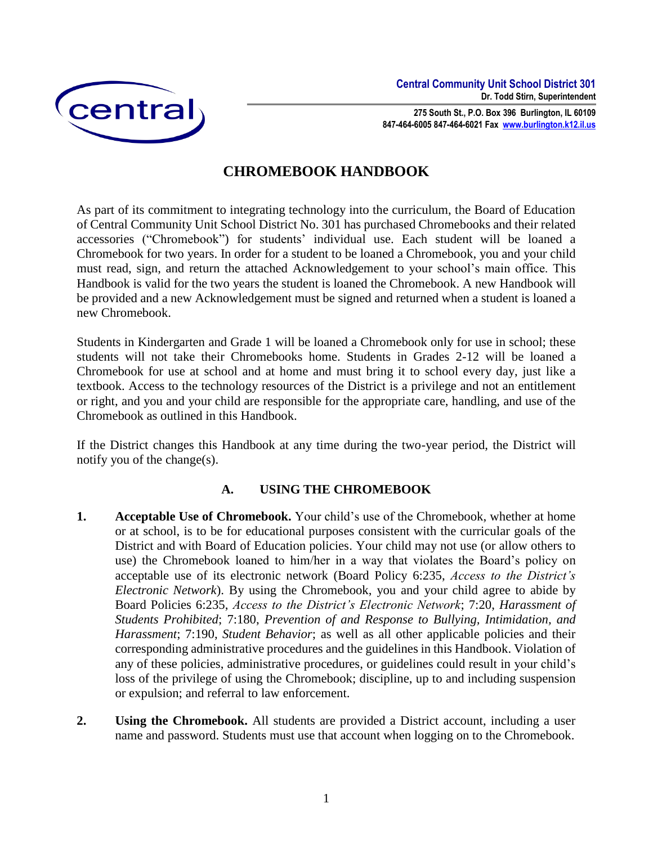

**275 South St., P.O. Box 396 Burlington, IL 60109 847-464-6005 847-464-6021 Fax [www.burlington.k12.il.us](http://www.burlington.k12.il.us/)**

# **CHROMEBOOK HANDBOOK**

As part of its commitment to integrating technology into the curriculum, the Board of Education of Central Community Unit School District No. 301 has purchased Chromebooks and their related accessories ("Chromebook") for students' individual use. Each student will be loaned a Chromebook for two years. In order for a student to be loaned a Chromebook, you and your child must read, sign, and return the attached Acknowledgement to your school's main office. This Handbook is valid for the two years the student is loaned the Chromebook. A new Handbook will be provided and a new Acknowledgement must be signed and returned when a student is loaned a new Chromebook.

Students in Kindergarten and Grade 1 will be loaned a Chromebook only for use in school; these students will not take their Chromebooks home. Students in Grades 2-12 will be loaned a Chromebook for use at school and at home and must bring it to school every day, just like a textbook. Access to the technology resources of the District is a privilege and not an entitlement or right, and you and your child are responsible for the appropriate care, handling, and use of the Chromebook as outlined in this Handbook.

If the District changes this Handbook at any time during the two-year period, the District will notify you of the change(s).

#### **A. USING THE CHROMEBOOK**

- **1. Acceptable Use of Chromebook.** Your child's use of the Chromebook, whether at home or at school, is to be for educational purposes consistent with the curricular goals of the District and with Board of Education policies. Your child may not use (or allow others to use) the Chromebook loaned to him/her in a way that violates the Board's policy on acceptable use of its electronic network (Board Policy 6:235, *Access to the District's Electronic Network*). By using the Chromebook, you and your child agree to abide by Board Policies 6:235, *Access to the District's Electronic Network*; 7:20, *Harassment of Students Prohibited*; 7:180, *Prevention of and Response to Bullying, Intimidation, and Harassment*; 7:190, *Student Behavior*; as well as all other applicable policies and their corresponding administrative procedures and the guidelines in this Handbook. Violation of any of these policies, administrative procedures, or guidelines could result in your child's loss of the privilege of using the Chromebook; discipline, up to and including suspension or expulsion; and referral to law enforcement.
- **2. Using the Chromebook.** All students are provided a District account, including a user name and password. Students must use that account when logging on to the Chromebook.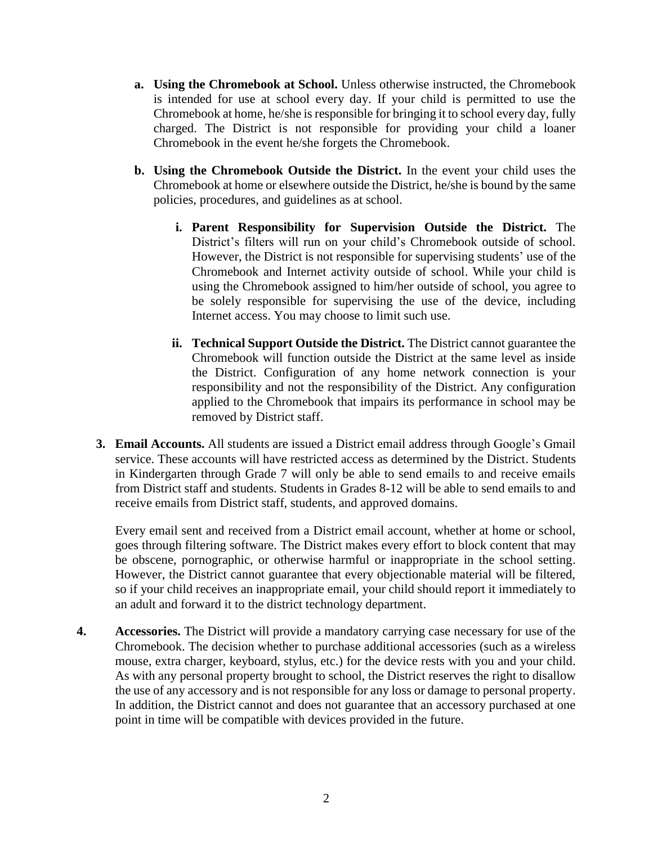- **a. Using the Chromebook at School.** Unless otherwise instructed, the Chromebook is intended for use at school every day. If your child is permitted to use the Chromebook at home, he/she is responsible for bringing it to school every day, fully charged. The District is not responsible for providing your child a loaner Chromebook in the event he/she forgets the Chromebook.
- **b. Using the Chromebook Outside the District.** In the event your child uses the Chromebook at home or elsewhere outside the District, he/she is bound by the same policies, procedures, and guidelines as at school.
	- **i. Parent Responsibility for Supervision Outside the District.** The District's filters will run on your child's Chromebook outside of school. However, the District is not responsible for supervising students' use of the Chromebook and Internet activity outside of school. While your child is using the Chromebook assigned to him/her outside of school, you agree to be solely responsible for supervising the use of the device, including Internet access. You may choose to limit such use.
	- **ii. Technical Support Outside the District.** The District cannot guarantee the Chromebook will function outside the District at the same level as inside the District. Configuration of any home network connection is your responsibility and not the responsibility of the District. Any configuration applied to the Chromebook that impairs its performance in school may be removed by District staff.
- **3. Email Accounts.** All students are issued a District email address through Google's Gmail service. These accounts will have restricted access as determined by the District. Students in Kindergarten through Grade 7 will only be able to send emails to and receive emails from District staff and students. Students in Grades 8-12 will be able to send emails to and receive emails from District staff, students, and approved domains.

Every email sent and received from a District email account, whether at home or school, goes through filtering software. The District makes every effort to block content that may be obscene, pornographic, or otherwise harmful or inappropriate in the school setting. However, the District cannot guarantee that every objectionable material will be filtered, so if your child receives an inappropriate email, your child should report it immediately to an adult and forward it to the district technology department.

**4. Accessories.** The District will provide a mandatory carrying case necessary for use of the Chromebook. The decision whether to purchase additional accessories (such as a wireless mouse, extra charger, keyboard, stylus, etc.) for the device rests with you and your child. As with any personal property brought to school, the District reserves the right to disallow the use of any accessory and is not responsible for any loss or damage to personal property. In addition, the District cannot and does not guarantee that an accessory purchased at one point in time will be compatible with devices provided in the future.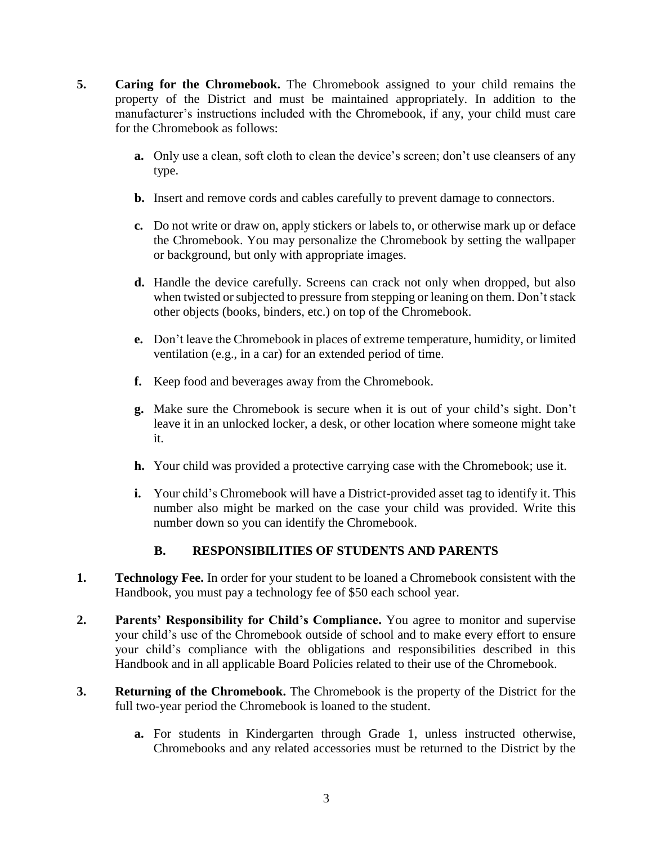- **5. Caring for the Chromebook.** The Chromebook assigned to your child remains the property of the District and must be maintained appropriately. In addition to the manufacturer's instructions included with the Chromebook, if any, your child must care for the Chromebook as follows:
	- **a.** Only use a clean, soft cloth to clean the device's screen; don't use cleansers of any type.
	- **b.** Insert and remove cords and cables carefully to prevent damage to connectors.
	- **c.** Do not write or draw on, apply stickers or labels to, or otherwise mark up or deface the Chromebook. You may personalize the Chromebook by setting the wallpaper or background, but only with appropriate images.
	- **d.** Handle the device carefully. Screens can crack not only when dropped, but also when twisted or subjected to pressure from stepping or leaning on them. Don't stack other objects (books, binders, etc.) on top of the Chromebook.
	- **e.** Don't leave the Chromebook in places of extreme temperature, humidity, or limited ventilation (e.g., in a car) for an extended period of time.
	- **f.** Keep food and beverages away from the Chromebook.
	- **g.** Make sure the Chromebook is secure when it is out of your child's sight. Don't leave it in an unlocked locker, a desk, or other location where someone might take it.
	- **h.** Your child was provided a protective carrying case with the Chromebook; use it.
	- **i.** Your child's Chromebook will have a District-provided asset tag to identify it. This number also might be marked on the case your child was provided. Write this number down so you can identify the Chromebook.

### **B. RESPONSIBILITIES OF STUDENTS AND PARENTS**

- **1. Technology Fee.** In order for your student to be loaned a Chromebook consistent with the Handbook, you must pay a technology fee of \$50 each school year.
- **2. Parents' Responsibility for Child's Compliance.** You agree to monitor and supervise your child's use of the Chromebook outside of school and to make every effort to ensure your child's compliance with the obligations and responsibilities described in this Handbook and in all applicable Board Policies related to their use of the Chromebook.
- **3. Returning of the Chromebook.** The Chromebook is the property of the District for the full two-year period the Chromebook is loaned to the student.
	- **a.** For students in Kindergarten through Grade 1, unless instructed otherwise, Chromebooks and any related accessories must be returned to the District by the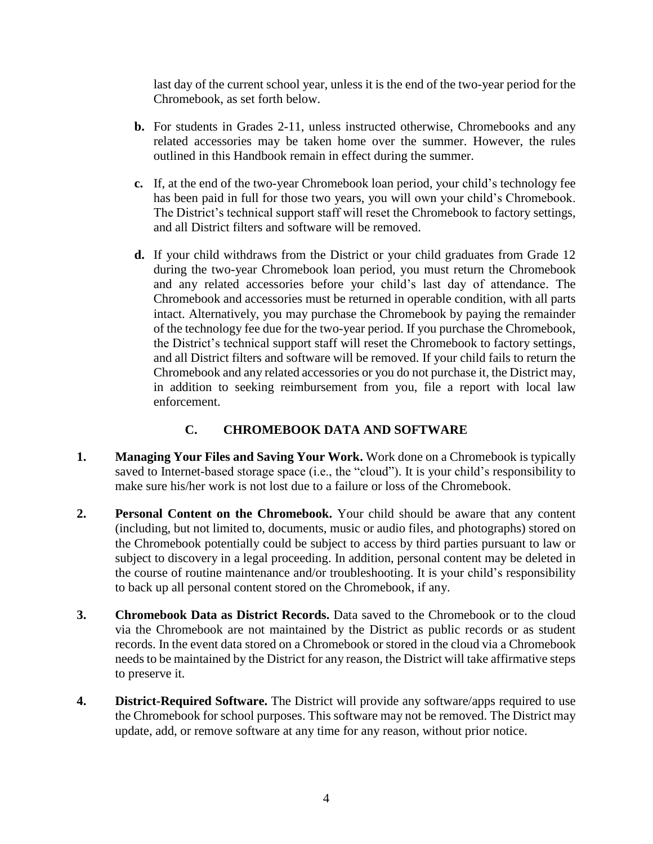last day of the current school year, unless it is the end of the two-year period for the Chromebook, as set forth below.

- **b.** For students in Grades 2-11, unless instructed otherwise, Chromebooks and any related accessories may be taken home over the summer. However, the rules outlined in this Handbook remain in effect during the summer.
- **c.** If, at the end of the two-year Chromebook loan period, your child's technology fee has been paid in full for those two years, you will own your child's Chromebook. The District's technical support staff will reset the Chromebook to factory settings, and all District filters and software will be removed.
- **d.** If your child withdraws from the District or your child graduates from Grade 12 during the two-year Chromebook loan period, you must return the Chromebook and any related accessories before your child's last day of attendance. The Chromebook and accessories must be returned in operable condition, with all parts intact. Alternatively, you may purchase the Chromebook by paying the remainder of the technology fee due for the two-year period. If you purchase the Chromebook, the District's technical support staff will reset the Chromebook to factory settings, and all District filters and software will be removed. If your child fails to return the Chromebook and any related accessories or you do not purchase it, the District may, in addition to seeking reimbursement from you, file a report with local law enforcement.

#### **C. CHROMEBOOK DATA AND SOFTWARE**

- **1. Managing Your Files and Saving Your Work.** Work done on a Chromebook is typically saved to Internet-based storage space (i.e., the "cloud"). It is your child's responsibility to make sure his/her work is not lost due to a failure or loss of the Chromebook.
- **2. Personal Content on the Chromebook.** Your child should be aware that any content (including, but not limited to, documents, music or audio files, and photographs) stored on the Chromebook potentially could be subject to access by third parties pursuant to law or subject to discovery in a legal proceeding. In addition, personal content may be deleted in the course of routine maintenance and/or troubleshooting. It is your child's responsibility to back up all personal content stored on the Chromebook, if any.
- **3. Chromebook Data as District Records.** Data saved to the Chromebook or to the cloud via the Chromebook are not maintained by the District as public records or as student records. In the event data stored on a Chromebook or stored in the cloud via a Chromebook needs to be maintained by the District for any reason, the District will take affirmative steps to preserve it.
- **4. District-Required Software.** The District will provide any software/apps required to use the Chromebook for school purposes. This software may not be removed. The District may update, add, or remove software at any time for any reason, without prior notice.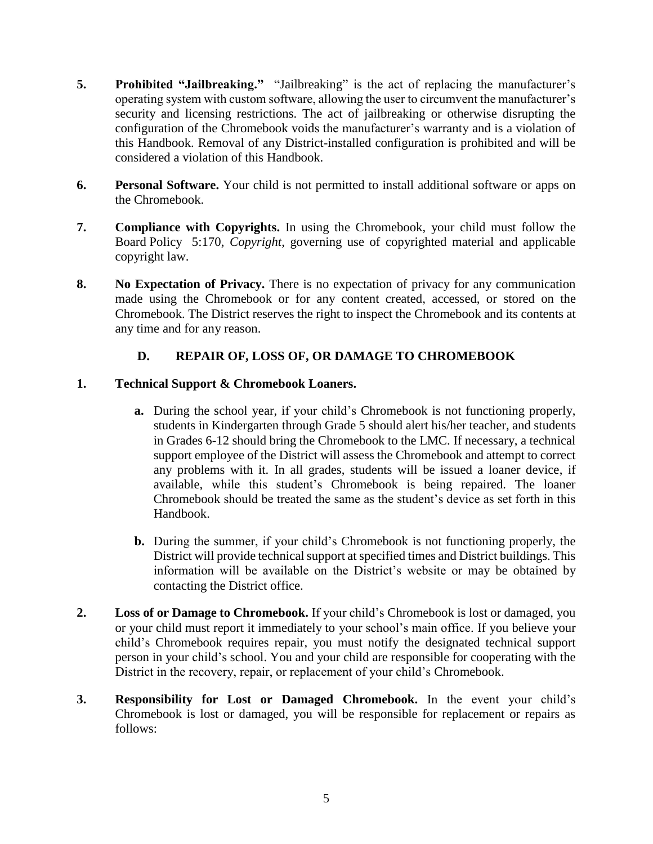- **5. Prohibited "Jailbreaking."** "Jailbreaking" is the act of replacing the manufacturer's operating system with custom software, allowing the user to circumvent the manufacturer's security and licensing restrictions. The act of jailbreaking or otherwise disrupting the configuration of the Chromebook voids the manufacturer's warranty and is a violation of this Handbook. Removal of any District-installed configuration is prohibited and will be considered a violation of this Handbook.
- **6. Personal Software.** Your child is not permitted to install additional software or apps on the Chromebook.
- **7. Compliance with Copyrights.** In using the Chromebook, your child must follow the Board Policy 5:170, *Copyright*, governing use of copyrighted material and applicable copyright law.
- **8. No Expectation of Privacy.** There is no expectation of privacy for any communication made using the Chromebook or for any content created, accessed, or stored on the Chromebook. The District reserves the right to inspect the Chromebook and its contents at any time and for any reason.

#### **D. REPAIR OF, LOSS OF, OR DAMAGE TO CHROMEBOOK**

#### **1. Technical Support & Chromebook Loaners.**

- **a.** During the school year, if your child's Chromebook is not functioning properly, students in Kindergarten through Grade 5 should alert his/her teacher, and students in Grades 6-12 should bring the Chromebook to the LMC. If necessary, a technical support employee of the District will assess the Chromebook and attempt to correct any problems with it. In all grades, students will be issued a loaner device, if available, while this student's Chromebook is being repaired. The loaner Chromebook should be treated the same as the student's device as set forth in this Handbook.
- **b.** During the summer, if your child's Chromebook is not functioning properly, the District will provide technical support at specified times and District buildings. This information will be available on the District's website or may be obtained by contacting the District office.
- **2. Loss of or Damage to Chromebook.** If your child's Chromebook is lost or damaged, you or your child must report it immediately to your school's main office. If you believe your child's Chromebook requires repair, you must notify the designated technical support person in your child's school. You and your child are responsible for cooperating with the District in the recovery, repair, or replacement of your child's Chromebook.
- **3. Responsibility for Lost or Damaged Chromebook.** In the event your child's Chromebook is lost or damaged, you will be responsible for replacement or repairs as follows: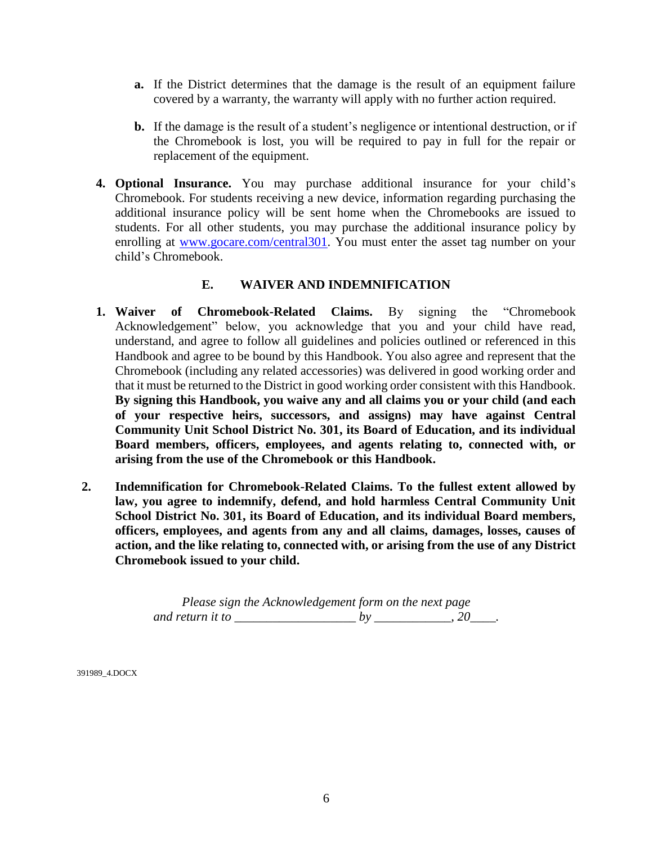- **a.** If the District determines that the damage is the result of an equipment failure covered by a warranty, the warranty will apply with no further action required.
- **b.** If the damage is the result of a student's negligence or intentional destruction, or if the Chromebook is lost, you will be required to pay in full for the repair or replacement of the equipment.
- **4. Optional Insurance.** You may purchase additional insurance for your child's Chromebook. For students receiving a new device, information regarding purchasing the additional insurance policy will be sent home when the Chromebooks are issued to students. For all other students, you may purchase the additional insurance policy by enrolling at [www.gocare.com/central301.](http://www.gocare.com/central301) You must enter the asset tag number on your child's Chromebook.

#### **E. WAIVER AND INDEMNIFICATION**

- **1. Waiver of Chromebook-Related Claims.** By signing the "Chromebook Acknowledgement" below, you acknowledge that you and your child have read, understand, and agree to follow all guidelines and policies outlined or referenced in this Handbook and agree to be bound by this Handbook. You also agree and represent that the Chromebook (including any related accessories) was delivered in good working order and that it must be returned to the District in good working order consistent with this Handbook. **By signing this Handbook, you waive any and all claims you or your child (and each of your respective heirs, successors, and assigns) may have against Central Community Unit School District No. 301, its Board of Education, and its individual Board members, officers, employees, and agents relating to, connected with, or arising from the use of the Chromebook or this Handbook.**
- **2. Indemnification for Chromebook-Related Claims. To the fullest extent allowed by law, you agree to indemnify, defend, and hold harmless Central Community Unit School District No. 301, its Board of Education, and its individual Board members, officers, employees, and agents from any and all claims, damages, losses, causes of action, and the like relating to, connected with, or arising from the use of any District Chromebook issued to your child.**

*Please sign the Acknowledgement form on the next page and return it to*  $by$   $20$ .

391989\_4.DOCX